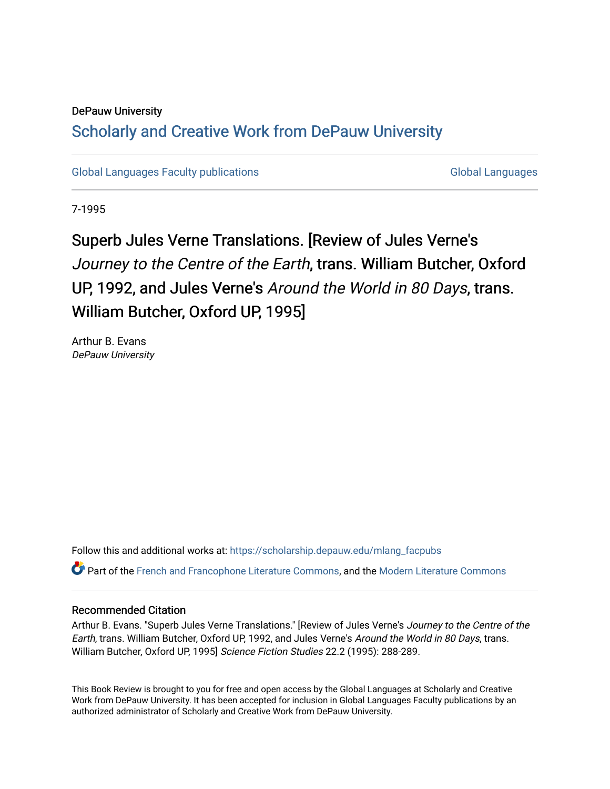### DePauw University

# Scholarly and [Creative Work from DePauw Univ](https://scholarship.depauw.edu/)ersity

[Global Languages Faculty publications](https://scholarship.depauw.edu/mlang_facpubs) [Global Languages](https://scholarship.depauw.edu/modernlanguages) Global Languages

7-1995

# Superb Jules Verne Translations. [Review of Jules Verne's Journey to the Centre of the Earth, trans. William Butcher, Oxford UP, 1992, and Jules Verne's Around the World in 80 Days, trans. William Butcher, Oxford UP, 1995]

Arthur B. Evans DePauw University

Follow this and additional works at: [https://scholarship.depauw.edu/mlang\\_facpubs](https://scholarship.depauw.edu/mlang_facpubs?utm_source=scholarship.depauw.edu%2Fmlang_facpubs%2F49&utm_medium=PDF&utm_campaign=PDFCoverPages)

Part of the [French and Francophone Literature Commons,](https://network.bepress.com/hgg/discipline/465?utm_source=scholarship.depauw.edu%2Fmlang_facpubs%2F49&utm_medium=PDF&utm_campaign=PDFCoverPages) and the [Modern Literature Commons](https://network.bepress.com/hgg/discipline/1050?utm_source=scholarship.depauw.edu%2Fmlang_facpubs%2F49&utm_medium=PDF&utm_campaign=PDFCoverPages)

#### Recommended Citation

Arthur B. Evans. "Superb Jules Verne Translations." [Review of Jules Verne's Journey to the Centre of the Earth, trans. William Butcher, Oxford UP, 1992, and Jules Verne's Around the World in 80 Days, trans. William Butcher, Oxford UP, 1995] Science Fiction Studies 22.2 (1995): 288-289.

This Book Review is brought to you for free and open access by the Global Languages at Scholarly and Creative Work from DePauw University. It has been accepted for inclusion in Global Languages Faculty publications by an authorized administrator of Scholarly and Creative Work from DePauw University.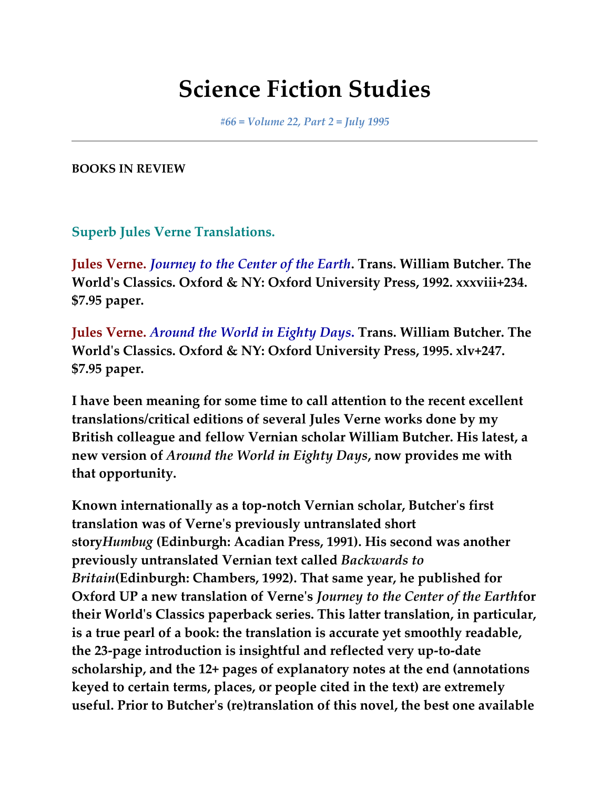# **Science Fiction Studies**

*#66 = Volume 22, Part 2 = July 1995*

**BOOKS IN REVIEW**

**Superb Jules Verne Translations.**

**Jules Verne.** *Journey to the Center of the Earth***. Trans. William Butcher. The World's Classics. Oxford & NY: Oxford University Press, 1992. xxxviii+234. \$7.95 paper.**

**Jules Verne.** *Around the World in Eighty Days***. Trans. William Butcher. The World's Classics. Oxford & NY: Oxford University Press, 1995. xlv+247. \$7.95 paper.**

**I have been meaning for some time to call attention to the recent excellent translations/critical editions of several Jules Verne works done by my British colleague and fellow Vernian scholar William Butcher. His latest, a new version of** *Around the World in Eighty Days***, now provides me with that opportunity.**

**Known internationally as a top-notch Vernian scholar, Butcher's first translation was of Verne's previously untranslated short story***Humbug* **(Edinburgh: Acadian Press, 1991). His second was another previously untranslated Vernian text called** *Backwards to Britain***(Edinburgh: Chambers, 1992). That same year, he published for Oxford UP a new translation of Verne's** *Journey to the Center of the Earth***for their World's Classics paperback series. This latter translation, in particular, is a true pearl of a book: the translation is accurate yet smoothly readable, the 23-page introduction is insightful and reflected very up-to-date scholarship, and the 12+ pages of explanatory notes at the end (annotations keyed to certain terms, places, or people cited in the text) are extremely useful. Prior to Butcher's (re)translation of this novel, the best one available**